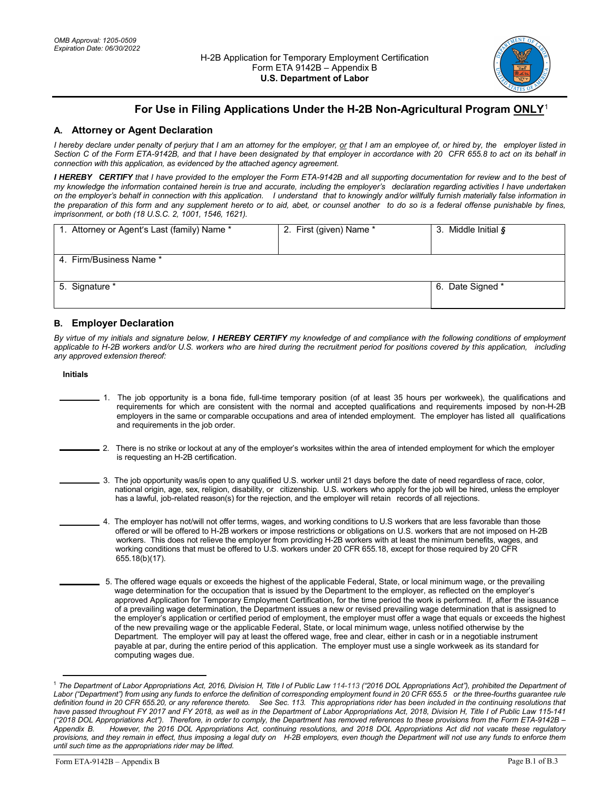

# **For Use in Filing Applications Under the H-2B Non-Agricultural Program ONLY**[1](#page-0-0)

## **A. Attorney or Agent Declaration**

 *I hereby declare under penalty of perjury that I am an attorney for the employer, or that I am an employee of, or hired by, the employer listed in Section C of the Form ETA-9142B, and that I have been designated by that employer in accordance with 20 CFR 655.8 to act on its behalf in connection with this application, as evidenced by the attached agency agreement.* 

 *I HEREBY CERTIFY that I have provided to the employer the Form ETA-9142B and all supporting documentation for review and to the best of my knowledge the information contained herein is true and accurate, including the employer's declaration regarding activities I have undertaken on the employer's behalf in connection with this application. I understand that to knowingly and/or willfully furnish materially false information in the preparation of this form and any supplement hereto or to aid, abet, or counsel another to do so is a federal offense punishable by fines, imprisonment, or both (18 U.S.C. 2, 1001, 1546, 1621).* 

| 1. Attorney or Agent's Last (family) Name * | 2. First (given) Name * | 3. Middle Initial § |
|---------------------------------------------|-------------------------|---------------------|
| 4. Firm/Business Name *                     |                         |                     |
|                                             |                         |                     |
| 5. Signature *                              |                         | 6. Date Signed *    |
|                                             |                         |                     |

### **B. Employer Declaration**

 *By virtue of my initials and signature below, I HEREBY CERTIFY my knowledge of and compliance with the following conditions of employment applicable to H-2B workers and/or U.S. workers who are hired during the recruitment period for positions covered by this application, including any approved extension thereof:* 

#### **Initials**

- 1. The job opportunity is a bona fide, full-time temporary position (of at least 35 hours per workweek), the qualifications and requirements for which are consistent with the normal and accepted qualifications and requirements imposed by non-H-2B employers in the same or comparable occupations and area of intended employment. The employer has listed all qualifications and requirements in the job order.
- l 2. There is no strike or lockout at any of the employer's worksites within the area of intended employment for which the employer is requesting an H-2B certification.
- 3. The job opportunity was/is open to any qualified U.S. worker until 21 days before the date of need regardless of race, color, national origin, age, sex, religion, disability, or citizenship. U.S. workers who apply for the job will be hired, unless the employer has a lawful, job-related reason(s) for the rejection, and the employer will retain records of all rejections.
- 4. The employer has not/will not offer terms, wages, and working conditions to U.S workers that are less favorable than those offered or will be offered to H-2B workers or impose restrictions or obligations on U.S. workers that are not imposed on H-2B workers. This does not relieve the employer from providing H-2B workers with at least the minimum benefits, wages, and working conditions that must be offered to U.S. workers under 20 CFR 655.18, except for those required by 20 CFR 655.18(b)(17).
- 5. The offered wage equals or exceeds the highest of the applicable Federal, State, or local minimum wage, or the prevailing wage determination for the occupation that is issued by the Department to the employer, as reflected on the employer's approved Application for Temporary Employment Certification, for the time period the work is performed. If, after the issuance of a prevailing wage determination, the Department issues a new or revised prevailing wage determination that is assigned to the employer's application or certified period of employment, the employer must offer a wage that equals or exceeds the highest of the new prevailing wage or the applicable Federal, State, or local minimum wage, unless notified otherwise by the Department. The employer will pay at least the offered wage, free and clear, either in cash or in a negotiable instrument payable at par, during the entire period of this application. The employer must use a single workweek as its standard for computing wages due.

 $\overline{a}$ 

<span id="page-0-0"></span> *Labor ("Department") from using any funds to enforce the definition of corresponding employment found in 20 CFR 655.5 or the three-fourths guarantee rule definition found in 20 CFR 655.20, or any reference thereto. See Sec. 113. This appropriations rider has been included in the continuing resolutions that have passed throughout FY 2017 and FY 2018, as well as in the Department of Labor Appropriations Act, 2018, Division H, Title I of Public Law 115-141 ("2018 DOL Appropriations Act"). Therefore, in order to comply, the Department has removed references to these provisions from the Form ETA-9142B –*  **Annendix R**  *provisions, and they remain in effect, thus imposing a legal duty on H-2B employers, even though the Department will not use any funds to enforce them*  <sup>1</sup> The Department of Labor Appropriations Act, 2016, Division H, Title I of Public Law 114-113 ("2016 DOL Appropriations Act"), prohibited the Department of *Appendix B. However, the 2016 DOL Appropriations Act, continuing resolutions, and 2018 DOL Appropriations Act did not vacate these regulatory until such time as the appropriations rider may be lifted.*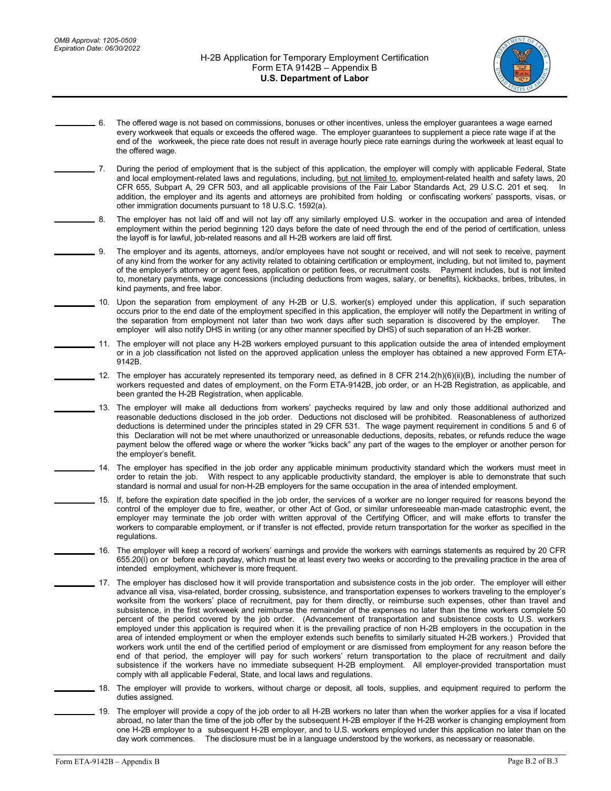

- 6. The offered wage is not based on commissions, bonuses or other incentives, unless the employer guarantees a wage earned every workweek that equals or exceeds the offered wage. The employer guarantees to supplement a piece rate wage if at the end of the workweek, the piece rate does not result in average hourly piece rate earnings during the workweek at least equal to the offered wage.
- $-7.$ and local employment-related laws and regulations, including, <u>but not limited to</u>, employment-related health and safety laws, 20 CFR 655, Subpart A, 29 CFR 503, and all applicable provisions of the Fair Labor Standards Act, 29 U.S.C. 201 et seq. In addition, the employer and its agents and attorneys are prohibited from holding or confiscating workers' passports, visas, or other immigration documents pursuant to 18 U.S.C. 1592(a). 7. During the period of employment that is the subject of this application, the employer will comply with applicable Federal, State

 $-8.$  employment within the period beginning 120 days before the date of need through the end of the period of certification, unless the layoff is for lawful, job-related reasons and all H-2B workers are laid off first. The employer has not laid off and will not lay off any similarly employed U.S. worker in the occupation and area of intended

- 9. of any kind from the worker for any activity related to obtaining certification or employment, including, but not limited to, payment of the employer's attorney or agent fees, application or petition fees, or recruitment costs. Payment includes, but is not limited to, monetary payments, wage concessions (including deductions from wages, salary, or benefits), kickbacks, bribes, tributes, in kind payments, and free labor. The employer and its agents, attorneys, and/or employees have not sought or received, and will not seek to receive, payment
- 10. Upon the separation from employment of any H-2B or U.S. worker(s) employed under this application, if such separation occurs prior to the end date of the employment specified in this application, the employer will notify the Department in writing of the separation from employment not later than two work days after such separation is discovered by the employer. The employer will also notify DHS in writing (or any other manner specified by DHS) of such separation of an H-2B worker.
- 11. The employer will not place any H-2B workers employed pursuant to this application outside the area of intended employment or in a job classification not listed on the approved application unless the employer has obtained a new approved Form ETA-9142B.
	- 12. The employer has accurately represented its temporary need, as defined in 8 CFR 214.2(h)(6)(ii)(B), including the number of workers requested and dates of employment, on the Form ETA-9142B, job order, or an H-2B Registration, as applicable, and been granted the H-2B Registration, when applicable.
- 13. The employer will make all deductions from workers' paychecks required by law and only those additional authorized and reasonable deductions disclosed in the job order. Deductions not disclosed will be prohibited. Reasonableness of authorized deductions is determined under the principles stated in 29 CFR 531. The wage payment requirement in conditions 5 and 6 of this Declaration will not be met where unauthorized or unreasonable deductions, deposits, rebates, or refunds reduce the wage payment below the offered wage or where the worker "kicks back" any part of the wages to the employer or another person for the employer's benefit.
- 14. The employer has specified in the job order any applicable minimum productivity standard which the workers must meet in order to retain the job. With respect to any applicable productivity standard, the employer is able to demonstrate that such standard is normal and usual for non-H-2B employers for the same occupation in the area of intended employment.
- 15. If, before the expiration date specified in the job order, the services of a worker are no longer required for reasons beyond the control of the employer due to fire, weather, or other Act of God, or similar unforeseeable man-made catastrophic event, the employer may terminate the job order with written approval of the Certifying Officer, and will make efforts to transfer the workers to comparable employment, or if transfer is not effected, provide return transportation for the worker as specified in the regulations
	- 16. The employer will keep a record of workers' earnings and provide the workers with earnings statements as required by 20 CFR 655.20(i) on or before each payday, which must be at least every two weeks or according to the prevailing practice in the area of intended employment, whichever is more frequent.
- 17. The employer has disclosed how it will provide transportation and subsistence costs in the job order. The employer will either advance all visa, visa-related, border crossing, subsistence, and transportation expenses to workers traveling to the employer's worksite from the workers' place of recruitment, pay for them directly, or reimburse such expenses, other than travel and subsistence, in the first workweek and reimburse the remainder of the expenses no later than the time workers complete 50 percent of the period covered by the job order. (Advancement of transportation and subsistence costs to U.S. workers employed under this application is required when it is the prevailing practice of non H-2B employers in the occupation in the area of intended employment or when the employer extends such benefits to similarly situated H-2B workers.) Provided that workers work until the end of the certified period of employment or are dismissed from employment for any reason before the end of that period, the employer will pay for such workers' return transportation to the place of recruitment and daily subsistence if the workers have no immediate subsequent H-2B employment. All employer-provided transportation must comply with all applicable Federal, State, and local laws and regulations.
	- 18. The employer will provide to workers, without charge or deposit, all tools, supplies, and equipment required to perform the duties assigned.
	- 19. The employer will provide a copy of the job order to all H-2B workers no later than when the worker applies for a visa if located abroad, no later than the time of the job offer by the subsequent H-2B employer if the H-2B worker is changing employment from one H-2B employer to a subsequent H-2B employer, and to U.S. workers employed under this application no later than on the day work commences. The disclosure must be in a language understood by the workers, as necessary or reasonable.